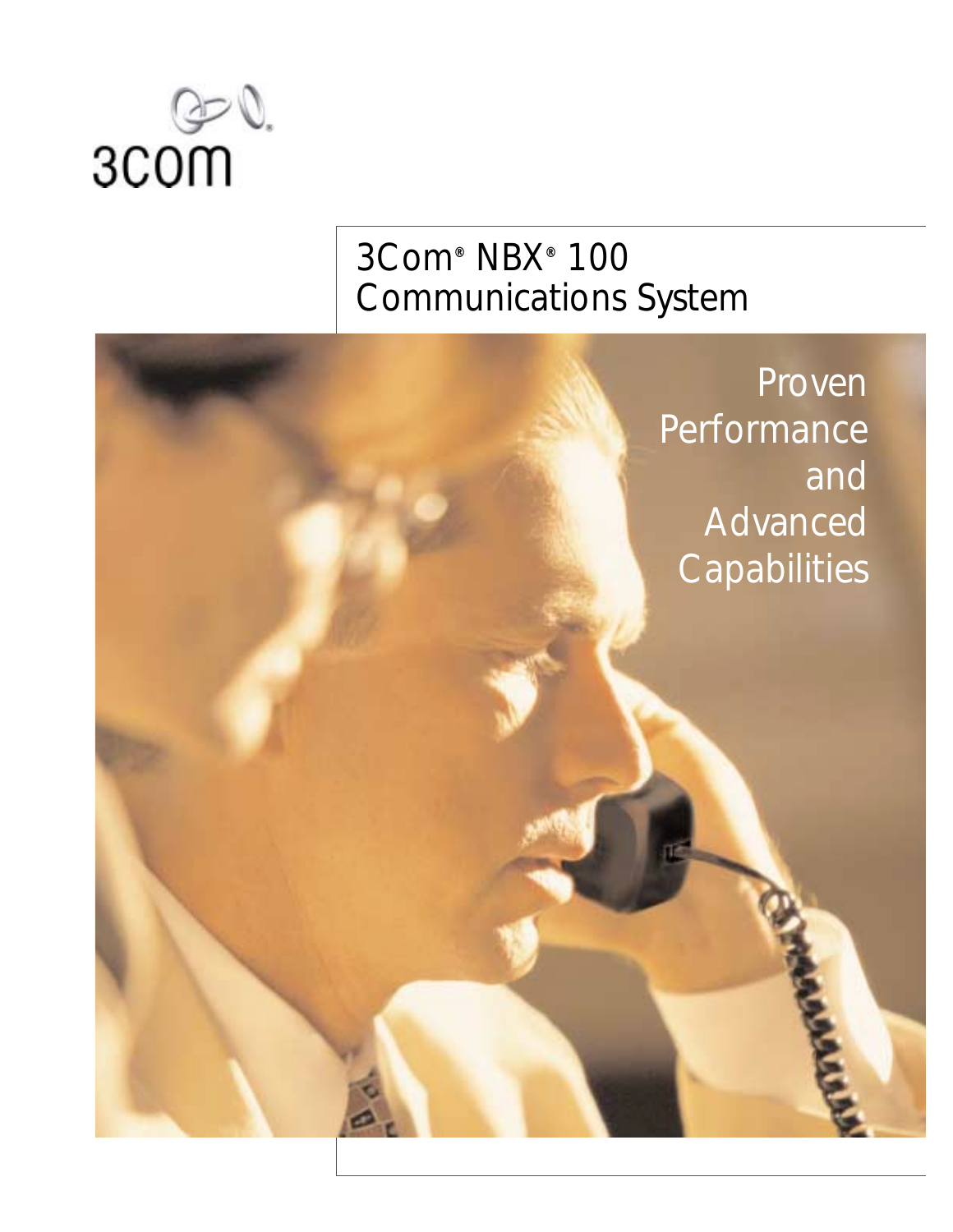

# 3Com**®** NBX**®** 100 Communications System

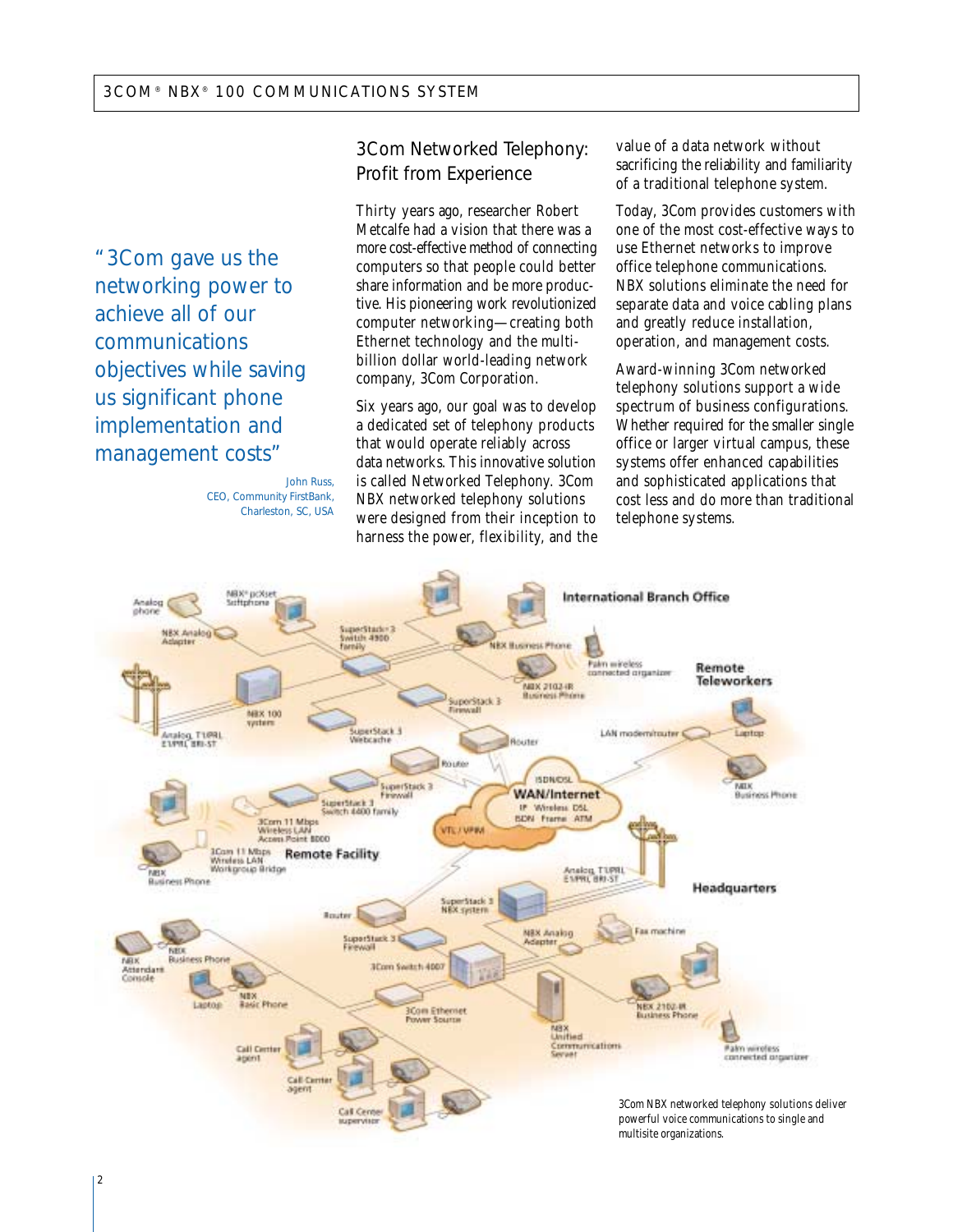"3Com gave us the networking power to achieve all of our communications objectives while saving us significant phone implementation and management costs"

#### *John Russ, CEO, Community FirstBank, Charleston, SC, USA*

## 3Com Networked Telephony: Profit from Experience

Thirty years ago, researcher Robert Metcalfe had a vision that there was a more cost-effective method of connecting computers so that people could better share information and be more productive. His pioneering work revolutionized computer networking—creating both Ethernet technology and the multibillion dollar world-leading network company, 3Com Corporation.

Six years ago, our goal was to develop a dedicated set of telephony products that would operate reliably across data networks. This innovative solution is called Networked Telephony. 3Com NBX networked telephony solutions were designed from their inception to harness the power, flexibility, and the

value of a data network without sacrificing the reliability and familiarity of a traditional telephone system.

Today, 3Com provides customers with one of the most cost-effective ways to use Ethernet networks to improve office telephone communications. NBX solutions eliminate the need for separate data and voice cabling plans and greatly reduce installation, operation, and management costs.

Award-winning 3Com networked telephony solutions support a wide spectrum of business configurations. Whether required for the smaller single office or larger virtual campus, these systems offer enhanced capabilities and sophisticated applications that cost less and do more than traditional telephone systems.

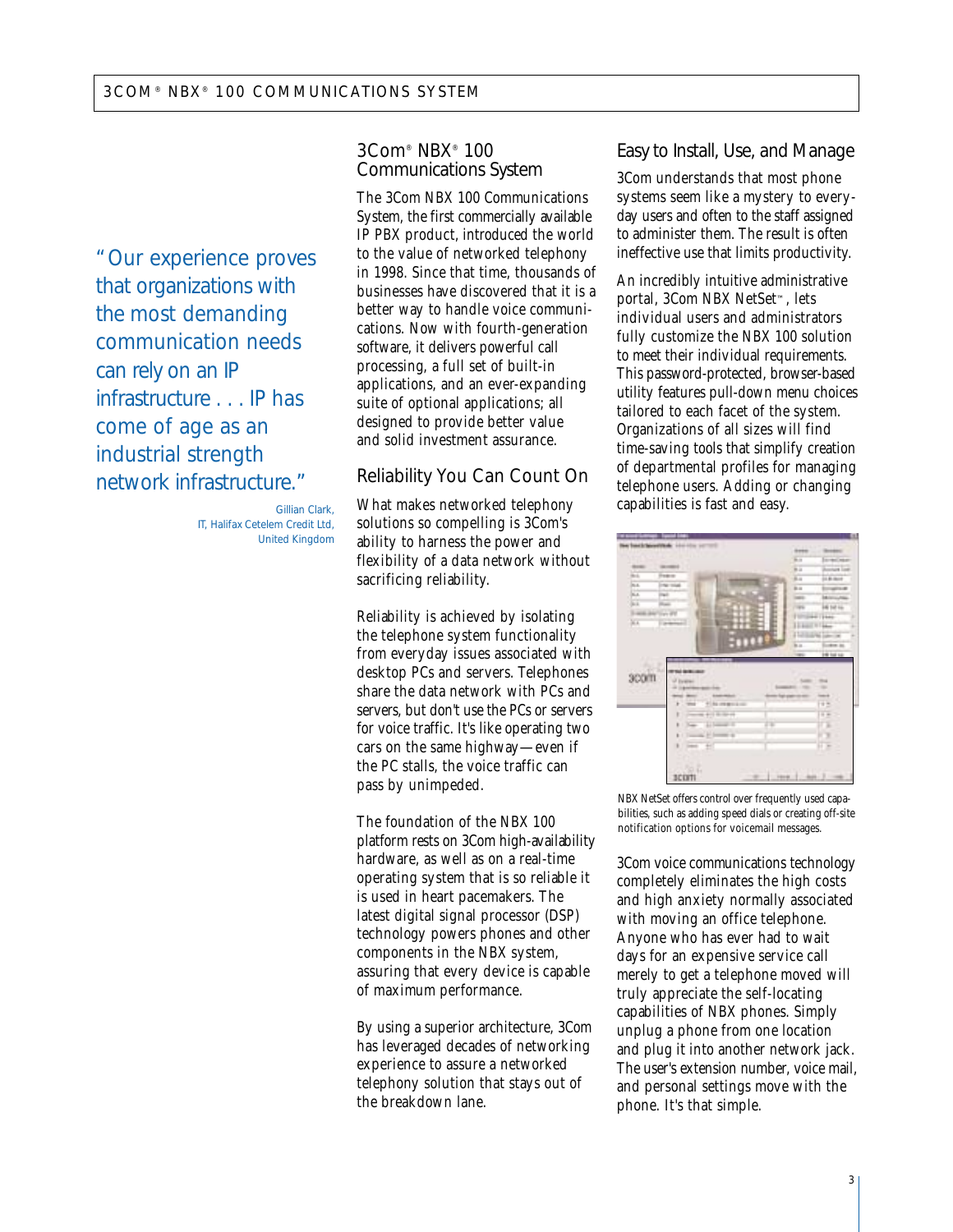"Our experience proves that organizations with the most demanding communication needs can rely on an IP infrastructure . . . IP has come of age as an industrial strength network infrastructure."

> *Gillian Clark, IT, Halifax Cetelem Credit Ltd, United Kingdom*

## 3Com® NBX® 100 Communications System

The 3Com NBX 100 Communications System, the first commercially available IP PBX product, introduced the world to the value of networked telephony in 1998. Since that time, thousands of businesses have discovered that it is a better way to handle voice communications. Now with fourth-generation software, it delivers powerful call processing, a full set of built-in applications, and an ever-expanding suite of optional applications; all designed to provide better value and solid investment assurance.

## Reliability You Can Count On

What makes networked telephony solutions so compelling is 3Com's ability to harness the power and flexibility of a data network without sacrificing reliability.

Reliability is achieved by isolating the telephone system functionality from everyday issues associated with desktop PCs and servers. Telephones share the data network with PCs and servers, but don't use the PCs or servers for voice traffic. It's like operating two cars on the same highway—even if the PC stalls, the voice traffic can pass by unimpeded.

The foundation of the NBX 100 platform rests on 3Com high-availability hardware, as well as on a real-time operating system that is so reliable it is used in heart pacemakers. The latest digital signal processor (DSP) technology powers phones and other components in the NBX system, assuring that every device is capable of maximum performance.

By using a superior architecture, 3Com has leveraged decades of networking experience to assure a networked telephony solution that stays out of the breakdown lane.

## Easy to Install, Use, and Manage

3Com understands that most phone systems seem like a mystery to everyday users and often to the staff assigned to administer them. The result is often ineffective use that limits productivity.

An incredibly intuitive administrative portal, 3Com NBX NetSet™, lets individual users and administrators fully customize the NBX 100 solution to meet their individual requirements. This password-protected, browser-based utility features pull-down menu choices tailored to each facet of the system. Organizations of all sizes will find time-saving tools that simplify creation of departmental profiles for managing telephone users. Adding or changing capabilities is fast and easy.

| <b>Track</b>                | <b>LEASE AN</b>              | <b>Green</b>           |                                |
|-----------------------------|------------------------------|------------------------|--------------------------------|
|                             |                              | in a                   | ь<br>$\overline{\phantom{a}}$  |
| <b>SILE</b><br><b>COLOR</b> | <b>STATE</b>                 | <b>B</b> is            | $\overline{a}$                 |
| m                           | Fee or                       | E.                     | <b>JA Bund</b>                 |
| m.                          | <b>The Total</b>             | b.c                    | airs a                         |
| K.                          | m                            | <b>Septima</b>         | ш                              |
| k)                          | man.                         | <b>COM</b>             | 16 tot 16                      |
| 14                          | <b>Civit</b>                 | ٠                      | er (ten)                       |
| Xx                          | <b>DEMONSTRATION</b>         | i<br>111               | <b>HILL</b>                    |
|                             |                              | 113                    | <b>Silver on</b>               |
|                             | E<br>m                       |                        |                                |
|                             |                              | b.c<br><b>Security</b> | dre to<br><b><i>DRIVER</i></b> |
|                             |                              |                        |                                |
|                             |                              |                        |                                |
| 300m                        | <b>ACTION</b>                |                        |                                |
|                             |                              |                        |                                |
|                             | -                            |                        | <b>Search</b>                  |
|                             | ٠<br><b>NUMBER</b><br>-      |                        | 12.5                           |
|                             | ï<br><b>PULLER</b>           |                        | $-2$                           |
|                             | <b>Library II</b><br>C.<br>× | Ι¥                     | ī.                             |
|                             | <b>Hillman</b><br>٠          |                        |                                |
|                             | Ŧ<br><b>Sentence</b>         |                        | ٠                              |
|                             |                              |                        | E<br>۱                         |
|                             |                              |                        |                                |
|                             |                              |                        |                                |
|                             | u<br><b>BCDITI</b>           |                        | ٠                              |

NBX NetSet offers control over frequently used capabilities, such as adding speed dials or creating off-site notification options for voicemail messages.

3Com voice communications technology completely eliminates the high costs and high anxiety normally associated with moving an office telephone. Anyone who has ever had to wait days for an expensive service call merely to get a telephone moved will truly appreciate the self-locating capabilities of NBX phones. Simply unplug a phone from one location and plug it into another network jack. The user's extension number, voice mail, and personal settings move with the phone. It's that simple.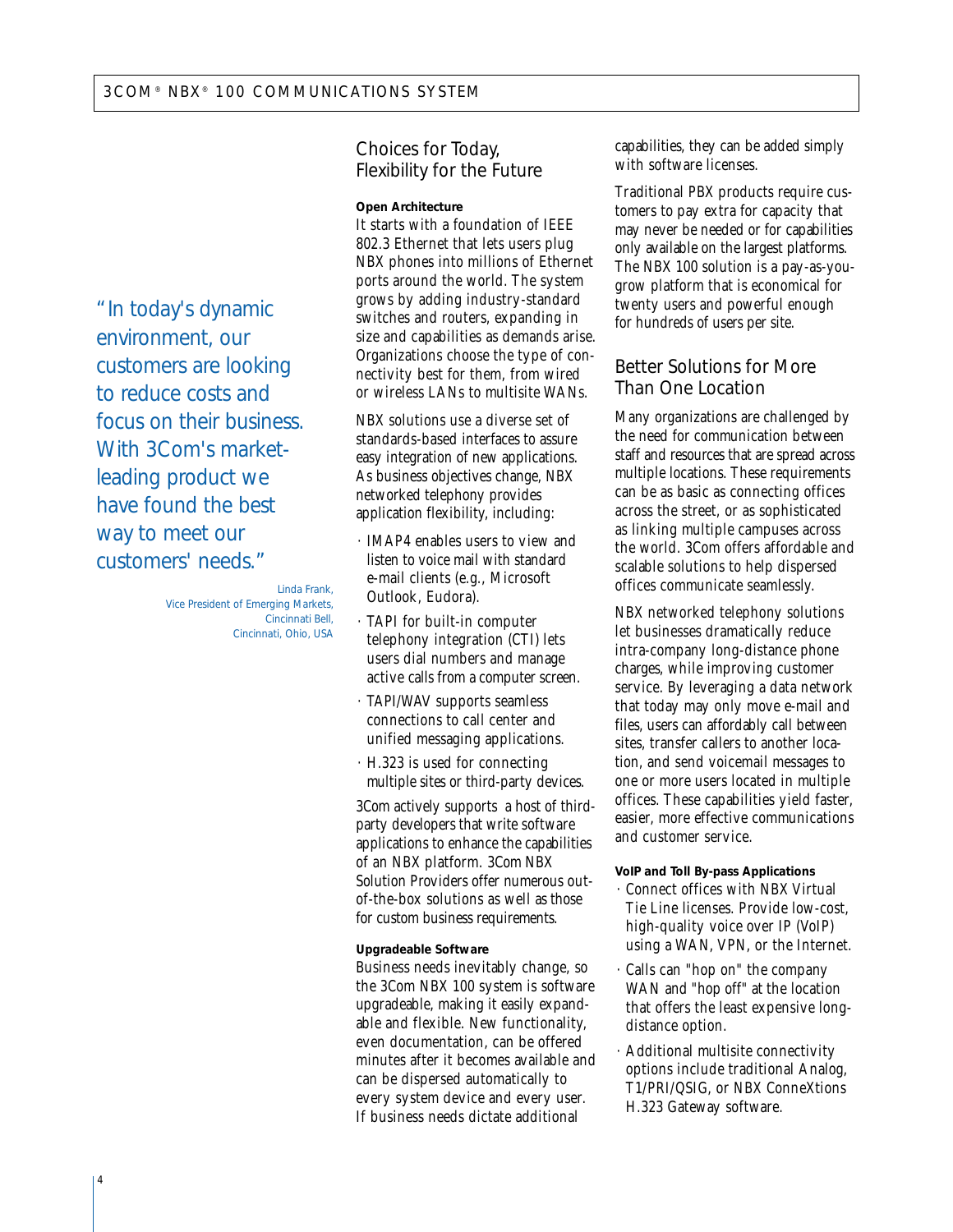"In today's dynamic environment, our customers are looking to reduce costs and focus on their business. With 3Com's marketleading product we have found the best way to meet our customers' needs."

> *Linda Frank, Vice President of Emerging Markets, Cincinnati Bell, Cincinnati, Ohio, USA*

Choices for Today, Flexibility for the Future

#### **Open Architecture**

It starts with a foundation of IEEE 802.3 Ethernet that lets users plug NBX phones into millions of Ethernet ports around the world. The system grows by adding industry-standard switches and routers, expanding in size and capabilities as demands arise. Organizations choose the type of connectivity best for them, from wired or wireless LANs to multisite WANs.

NBX solutions use a diverse set of standards-based interfaces to assure easy integration of new applications. As business objectives change, NBX networked telephony provides application flexibility, including:

- · IMAP4 enables users to view and listen to voice mail with standard e-mail clients (e.g., Microsoft Outlook, Eudora).
- · TAPI for built-in computer telephony integration (CTI) lets users dial numbers and manage active calls from a computer screen.
- · TAPI/WAV supports seamless connections to call center and unified messaging applications.
- · H.323 is used for connecting multiple sites or third-party devices.

3Com actively supports a host of thirdparty developers that write software applications to enhance the capabilities of an NBX platform. 3Com NBX Solution Providers offer numerous outof-the-box solutions as well as those for custom business requirements.

#### **Upgradeable Software**

Business needs inevitably change, so the 3Com NBX 100 system is software upgradeable, making it easily expandable and flexible. New functionality, even documentation, can be offered minutes after it becomes available and can be dispersed automatically to every system device and every user. If business needs dictate additional

capabilities, they can be added simply with software licenses.

Traditional PBX products require customers to pay extra for capacity that may never be needed or for capabilities only available on the largest platforms. The NBX 100 solution is a pay-as-yougrow platform that is economical for twenty users and powerful enough for hundreds of users per site.

## Better Solutions for More Than One Location

Many organizations are challenged by the need for communication between staff and resources that are spread across multiple locations. These requirements can be as basic as connecting offices across the street, or as sophisticated as linking multiple campuses across the world. 3Com offers affordable and scalable solutions to help dispersed offices communicate seamlessly.

NBX networked telephony solutions let businesses dramatically reduce intra-company long-distance phone charges, while improving customer service. By leveraging a data network that today may only move e-mail and files, users can affordably call between sites, transfer callers to another location, and send voicemail messages to one or more users located in multiple offices. These capabilities yield faster, easier, more effective communications and customer service.

#### **VoIP and Toll By-pass Applications**

- · Connect offices with NBX Virtual Tie Line licenses. Provide low-cost, high-quality voice over IP (VoIP) using a WAN, VPN, or the Internet.
- · Calls can "hop on" the company WAN and "hop off" at the location that offers the least expensive longdistance option.
- · Additional multisite connectivity options include traditional Analog, T1/PRI/QSIG, or NBX ConneXtions H.323 Gateway software.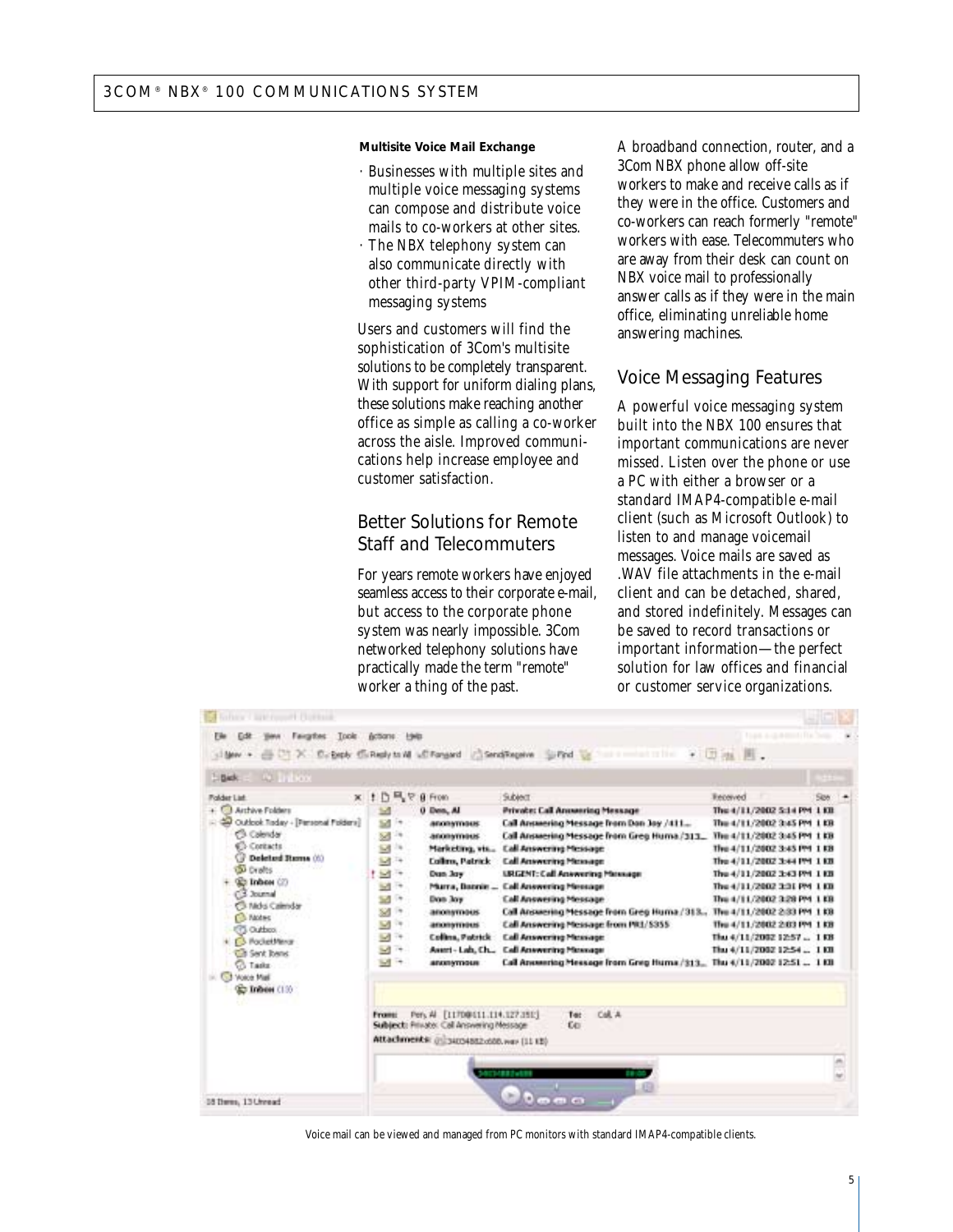#### **Multisite Voice Mail Exchange**

- · Businesses with multiple sites and multiple voice messaging systems can compose and distribute voice mails to co-workers at other sites.
- The NBX telephony system can also communicate directly with other third-party VPIM-compliant messaging systems

Users and customers will find the sophistication of 3Com's multisite solutions to be completely transparent. With support for uniform dialing plans, these solutions make reaching another office as simple as calling a co-worker across the aisle. Improved communications help increase employee and customer satisfaction.

## Better Solutions for Remote Staff and Telecommuters

For years remote workers have enjoyed seamless access to their corporate e-mail, but access to the corporate phone system was nearly impossible. 3Com networked telephony solutions have practically made the term "remote" worker a thing of the past.

A broadband connection, router, and a 3Com NBX phone allow off-site workers to make and receive calls as if they were in the office. Customers and co-workers can reach formerly "remote" workers with ease. Telecommuters who are away from their desk can count on NBX voice mail to professionally answer calls as if they were in the main office, eliminating unreliable home answering machines.

## Voice Messaging Features

A powerful voice messaging system built into the NBX 100 ensures that important communications are never missed. Listen over the phone or use a PC with either a browser or a standard IMAP4-compatible e-mail client (such as Microsoft Outlook) to listen to and manage voicemail messages. Voice mails are saved as .WAV file attachments in the e-mail client and can be detached, shared, and stored indefinitely. Messages can be saved to record transactions or important information—the perfect solution for law offices and financial or customer service organizations.

| Fairgites<br>Toole.<br>ľш<br>silder +                                                                                                                                                                                                                                                                                                                            | Actions: Help<br>UT X D. Beply C. Reply to M LC Forgard / Send Regeive Suffed List                                                                                                                                                                                                                                                                                                                                                                                                                                                 | mediately the Tiban                                                                                                                                                                                                                                                                                                                                                                                                                                                                                                                                                                  | 一切地画。                                                                                                                                                                                                                                                                                                                                                                         |      |  |
|------------------------------------------------------------------------------------------------------------------------------------------------------------------------------------------------------------------------------------------------------------------------------------------------------------------------------------------------------------------|------------------------------------------------------------------------------------------------------------------------------------------------------------------------------------------------------------------------------------------------------------------------------------------------------------------------------------------------------------------------------------------------------------------------------------------------------------------------------------------------------------------------------------|--------------------------------------------------------------------------------------------------------------------------------------------------------------------------------------------------------------------------------------------------------------------------------------------------------------------------------------------------------------------------------------------------------------------------------------------------------------------------------------------------------------------------------------------------------------------------------------|-------------------------------------------------------------------------------------------------------------------------------------------------------------------------------------------------------------------------------------------------------------------------------------------------------------------------------------------------------------------------------|------|--|
| <b>A</b> Inbox<br>1 Bick                                                                                                                                                                                                                                                                                                                                         |                                                                                                                                                                                                                                                                                                                                                                                                                                                                                                                                    |                                                                                                                                                                                                                                                                                                                                                                                                                                                                                                                                                                                      |                                                                                                                                                                                                                                                                                                                                                                               |      |  |
| Folder List<br>+ Cil Archive Folders<br>Cuttook Today - [Personal Folders]<br>Calendar<br>Contacts<br>Deletted Rums (6)<br>o<br><b>SI Drafts</b><br><b>Co Inhon (2)</b><br>(13 Journal<br>C Mos Calmdar<br><b>Co. Modes</b><br><b>CTL Outbox</b><br><b>CS PocketMena</b><br><b>Cit Sent Toens</b><br><b>Co Tasks</b><br><b>C.3 Voice Mail</b><br>GET Indian (13) | $\times$ 1 $D = 8$ from<br>0 Den, Al<br>$\sim$<br>58<br>i e<br><b><i>ADOITATIVERS</i></b><br>s<br>24<br>anonymous<br>53<br>14<br>Marketing, vis<br>M <sup>3</sup><br><b>Collins, Patrick</b><br>t ist +<br>Dean Jery<br>冠<br>Feb<br>Marra, Bannie<br>S.<br><b>CHE</b><br>Don Joy<br>58<br>19<br>anonymous<br>$\omega$<br>14<br>anonymous<br>54 14<br>Collins, Patrick<br>Sd in<br>Assert-Lab, Ch.,<br>MF<br><b><i>ADDITIONS</i></b><br>Pers Al [1170@611.114.127.15E]<br><b>Frome:</b><br>Subject: Private: Call Answering Message | Subject<br><b>Private: Call Anneering Message</b><br>Call Answering Message from Dan Jay /411<br>Call Answering Message from Greg Huma /313.<br><b>Call Answering Message</b><br><b>Call Answering Message</b><br><b>LIRGENT: Call Anwwering Materiage</b><br><b>Call Anwwering Message</b><br><b>Call Answering Message</b><br>Call Answering Message from Greg Huma / 313<br>Call Answering Message from PR1/5355<br><b>Call Answering Message</b><br><b>Call Asswering Massage</b><br>Call Answering Message from Greg Huma /313 Thu 4/11/2002 12:51 1101<br>Col. A.<br>Tet<br>£0 | Received<br>The 4/11/2002 5:14 PM 1 KB<br>The 4/11/2002 3:45 PM 1 KB<br>The 4/11/2002 3:45 PM 1 KB<br>The 4/11/2002 3:45 PM 1 KB<br>The 4/11/2002 3:44 PM 1 KB<br>The 4/11/2002 3:43 PM 110<br>The 4/11/2002 3:31 PM 1 KB<br>The 4/11/2002 3:28 PM 1 KB<br>The 4/11/2002 2:33 PM 1 KB<br>Thu 4/11/2002 2:03 PM 1 KB<br>Thu 4/11/2002 12:57  1 KB<br>Thu 4/11/2002 12:54  1101 | Size |  |
|                                                                                                                                                                                                                                                                                                                                                                  | Attachments: @234034882x500.wav (11.13)                                                                                                                                                                                                                                                                                                                                                                                                                                                                                            | <b>CLASS 2008</b><br>一 日<br>Đ<br>(bi)                                                                                                                                                                                                                                                                                                                                                                                                                                                                                                                                                |                                                                                                                                                                                                                                                                                                                                                                               |      |  |

Voice mail can be viewed and managed from PC monitors with standard IMAP4-compatible clients.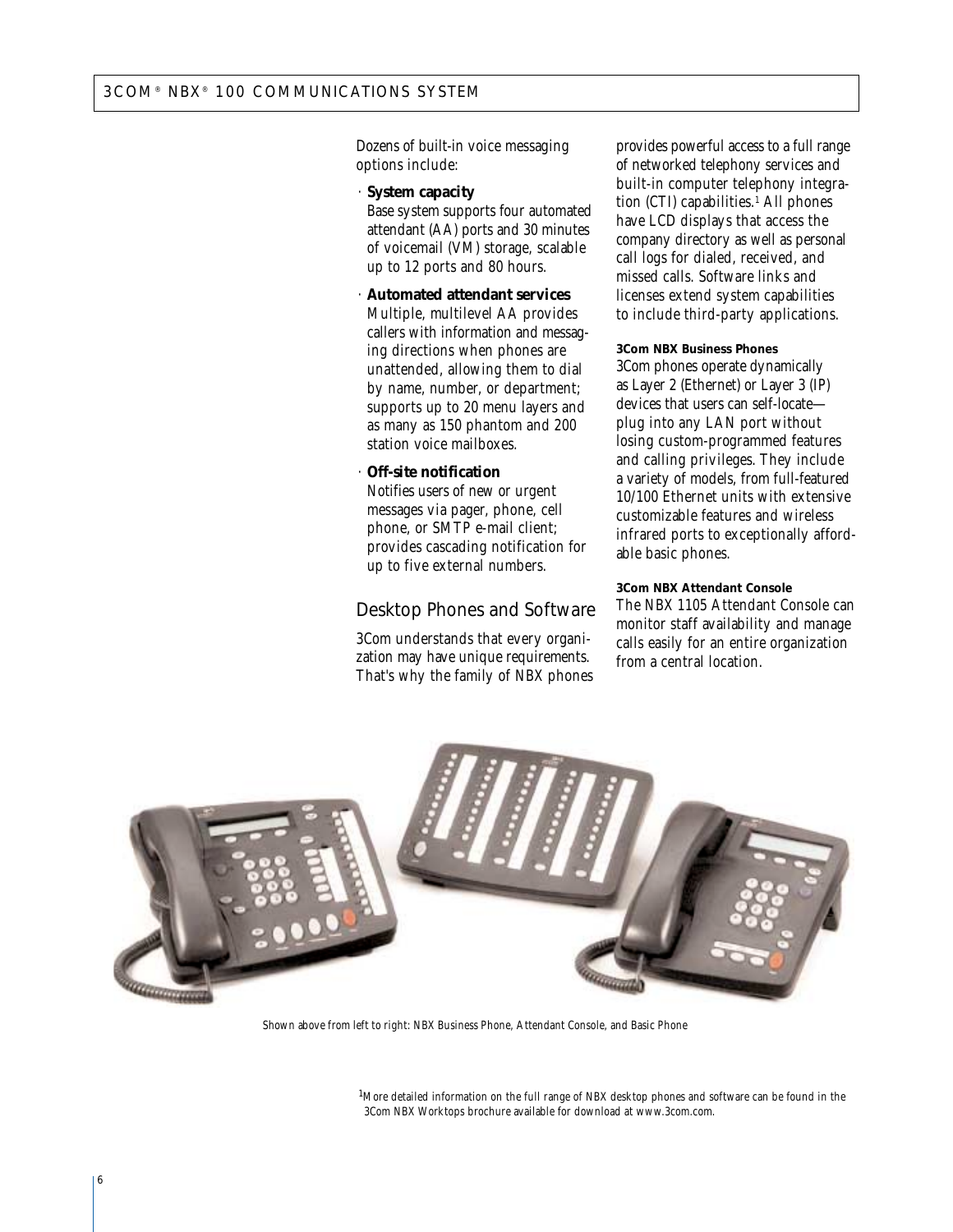Dozens of built-in voice messaging options include:

· **System capacity** 

Base system supports four automated attendant (AA) ports and 30 minutes of voicemail (VM) storage, scalable up to 12 ports and 80 hours.

· **Automated attendant services** Multiple, multilevel AA provides callers with information and messaging directions when phones are unattended, allowing them to dial by name, number, or department; supports up to 20 menu layers and as many as 150 phantom and 200 station voice mailboxes.

#### · **Off-site notification**

Notifies users of new or urgent messages via pager, phone, cell phone, or SMTP e-mail client; provides cascading notification for up to five external numbers.

## Desktop Phones and Software

3Com understands that every organization may have unique requirements. That's why the family of NBX phones provides powerful access to a full range of networked telephony services and built-in computer telephony integration (CTI) capabilities. $<sup>1</sup>$  All phones</sup> have LCD displays that access the company directory as well as personal call logs for dialed, received, and missed calls. Software links and licenses extend system capabilities to include third-party applications.

#### **3Com NBX Business Phones**

3Com phones operate dynamically as Layer 2 (Ethernet) or Layer 3 (IP) devices that users can self-locate plug into any LAN port without losing custom-programmed features and calling privileges. They include a variety of models, from full-featured 10/100 Ethernet units with extensive customizable features and wireless infrared ports to exceptionally affordable basic phones.

#### **3Com NBX Attendant Console**

The NBX 1105 Attendant Console can monitor staff availability and manage calls easily for an entire organization from a central location.



Shown above from left to right: NBX Business Phone, Attendant Console, and Basic Phone

<sup>1</sup>More detailed information on the full range of NBX desktop phones and software can be found in the 3Com NBX Worktops brochure available for download at www.3com.com.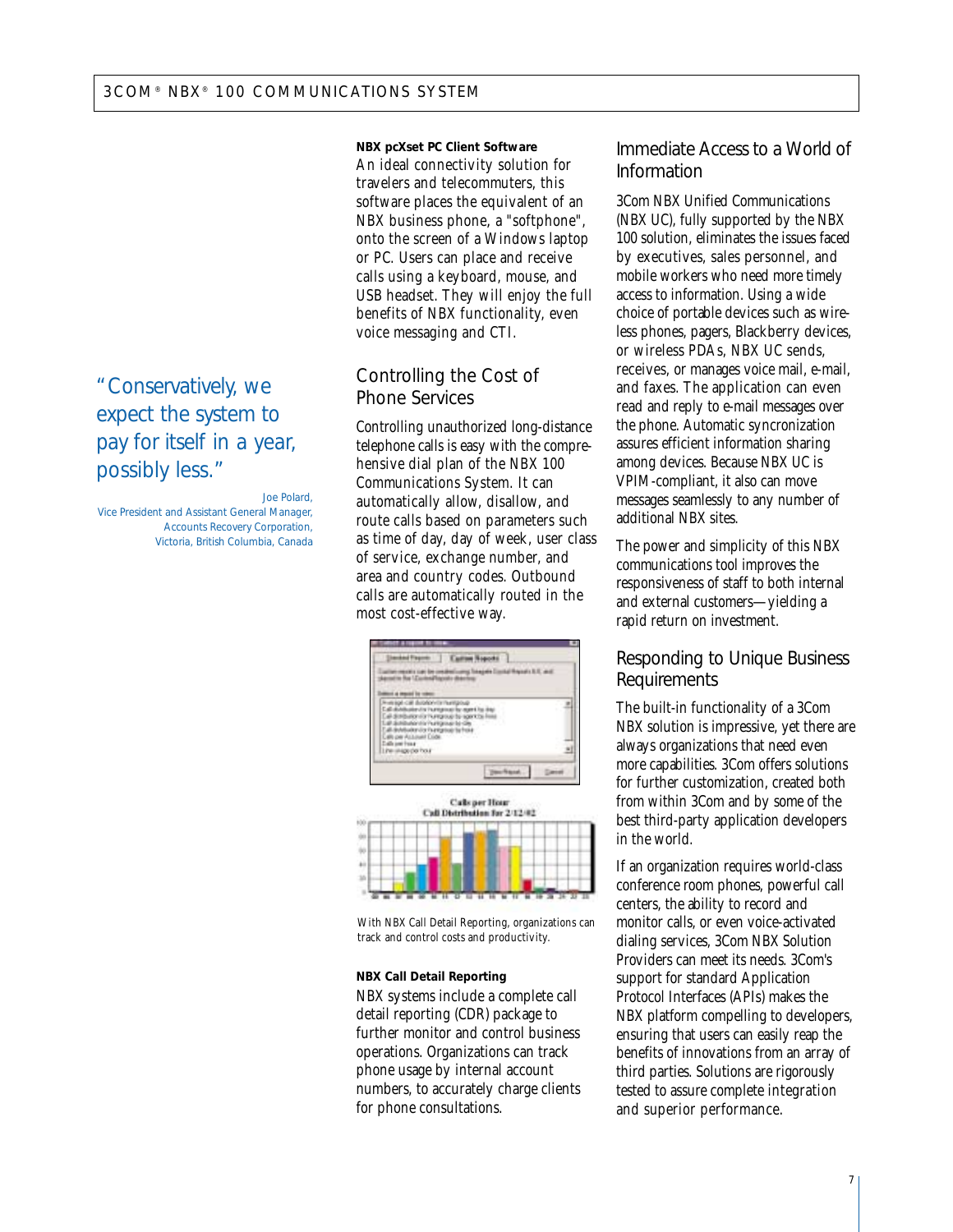"Conservatively, we expect the system to pay for itself in a year, possibly less."

*Joe Polard, Vice President and Assistant General Manager, Accounts Recovery Corporation, Victoria, British Columbia, Canada* **NBX pcXset PC Client Software** An ideal connectivity solution for travelers and telecommuters, this software places the equivalent of an NBX business phone, a "softphone", onto the screen of a Windows laptop or PC. Users can place and receive calls using a keyboard, mouse, and USB headset. They will enjoy the full benefits of NBX functionality, even voice messaging and CTI.

## Controlling the Cost of Phone Services

Controlling unauthorized long-distance telephone calls is easy with the comprehensive dial plan of the NBX 100 Communications System. It can automatically allow, disallow, and route calls based on parameters such as time of day, day of week, user class of service, exchange number, and area and country codes. Outbound calls are automatically routed in the most cost-effective way.



With NBX Call Detail Reporting, organizations can track and control costs and productivity.

#### **NBX Call Detail Reporting**

NBX systems include a complete call detail reporting (CDR) package to further monitor and control business operations. Organizations can track phone usage by internal account numbers, to accurately charge clients for phone consultations.

## Immediate Access to a World of Information

3Com NBX Unified Communications (NBX UC), fully supported by the NBX 100 solution, eliminates the issues faced by executives, sales personnel, and mobile workers who need more timely access to information. Using a wide choice of portable devices such as wireless phones, pagers, Blackberry devices, or wireless PDAs, NBX UC sends, receives, or manages voice mail, e-mail, and faxes. The application can even read and reply to e-mail messages over the phone. Automatic syncronization assures efficient information sharing among devices. Because NBX UC is VPIM-compliant, it also can move messages seamlessly to any number of additional NBX sites.

The power and simplicity of this NBX communications tool improves the responsiveness of staff to both internal and external customers—yielding a rapid return on investment.

### Responding to Unique Business Requirements

The built-in functionality of a 3Com NBX solution is impressive, yet there are always organizations that need even more capabilities. 3Com offers solutions for further customization, created both from within 3Com and by some of the best third-party application developers in the world.

If an organization requires world-class conference room phones, powerful call centers, the ability to record and monitor calls, or even voice-activated dialing services, 3Com NBX Solution Providers can meet its needs. 3Com's support for standard Application Protocol Interfaces (APIs) makes the NBX platform compelling to developers, ensuring that users can easily reap the benefits of innovations from an array of third parties. Solutions are rigorously tested to assure complete integration and superior performance.